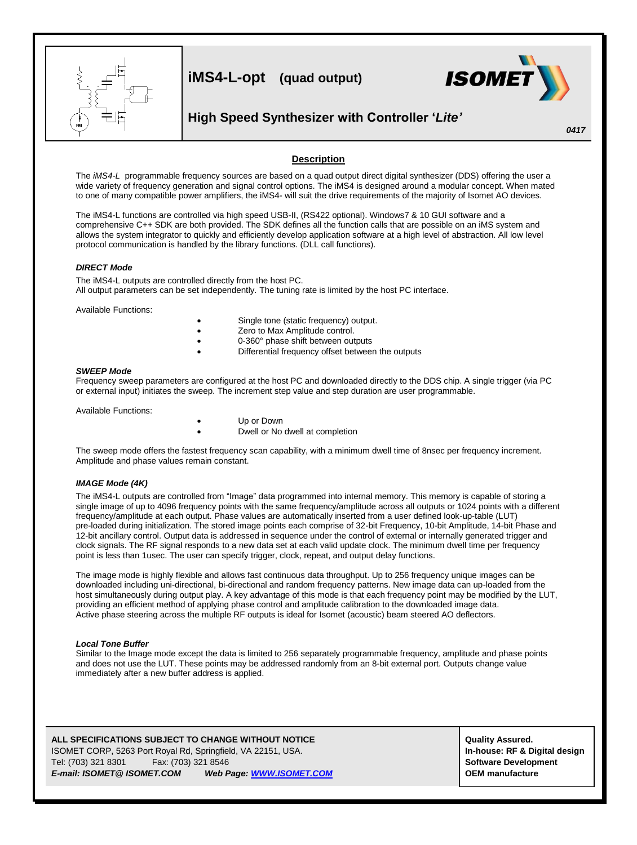

### **Description**

The *iMS4-L* programmable frequency sources are based on a quad output direct digital synthesizer (DDS) offering the user a wide variety of frequency generation and signal control options. The iMS4 is designed around a modular concept. When mated to one of many compatible power amplifiers, the iMS4- will suit the drive requirements of the majority of Isomet AO devices.

The iMS4-L functions are controlled via high speed USB-II, (RS422 optional). Windows7 & 10 GUI software and a comprehensive C++ SDK are both provided. The SDK defines all the function calls that are possible on an iMS system and allows the system integrator to quickly and efficiently develop application software at a high level of abstraction. All low level protocol communication is handled by the library functions. (DLL call functions).

#### *DIRECT Mode*

The iMS4-L outputs are controlled directly from the host PC. All output parameters can be set independently. The tuning rate is limited by the host PC interface.

Available Functions:

- Single tone (static frequency) output.
- Zero to Max Amplitude control.
- 0-360° phase shift between outputs
- Differential frequency offset between the outputs

#### *SWEEP Mode*

Frequency sweep parameters are configured at the host PC and downloaded directly to the DDS chip. A single trigger (via PC or external input) initiates the sweep. The increment step value and step duration are user programmable.

Available Functions:

- Up or Down
- Dwell or No dwell at completion

The sweep mode offers the fastest frequency scan capability, with a minimum dwell time of 8nsec per frequency increment. Amplitude and phase values remain constant.

#### *IMAGE Mode (4K)*

The iMS4-L outputs are controlled from "Image" data programmed into internal memory. This memory is capable of storing a single image of up to 4096 frequency points with the same frequency/amplitude across all outputs or 1024 points with a different frequency/amplitude at each output. Phase values are automatically inserted from a user defined look-up-table (LUT) pre-loaded during initialization. The stored image points each comprise of 32-bit Frequency, 10-bit Amplitude, 14-bit Phase and 12-bit ancillary control. Output data is addressed in sequence under the control of external or internally generated trigger and clock signals. The RF signal responds to a new data set at each valid update clock. The minimum dwell time per frequency point is less than 1usec. The user can specify trigger, clock, repeat, and output delay functions.

The image mode is highly flexible and allows fast continuous data throughput. Up to 256 frequency unique images can be downloaded including uni-directional, bi-directional and random frequency patterns. New image data can up-loaded from the host simultaneously during output play. A key advantage of this mode is that each frequency point may be modified by the LUT, providing an efficient method of applying phase control and amplitude calibration to the downloaded image data. Active phase steering across the multiple RF outputs is ideal for Isomet (acoustic) beam steered AO deflectors.

#### *Local Tone Buffer*

Similar to the Image mode except the data is limited to 256 separately programmable frequency, amplitude and phase points and does not use the LUT. These points may be addressed randomly from an 8-bit external port. Outputs change value immediately after a new buffer address is applied.

#### **ALL SPECIFICATIONS SUBJECT TO CHANGE WITHOUT NOTICE**  $\begin{bmatrix} \text{Quality Assured.} \end{bmatrix}$

ISOMET CORP, 5263 Port Royal Rd, Springfield, VA 22151, USA. **In-house: RF & Digital design** Tel: (703) 321 8301 Fax: (703) 321 8546 **Software Development** *E-mail: ISOMET@ ISOMET.COM Web Page[: WWW.ISOMET.COM](http://www.isomet.com/)* **OEM manufacture**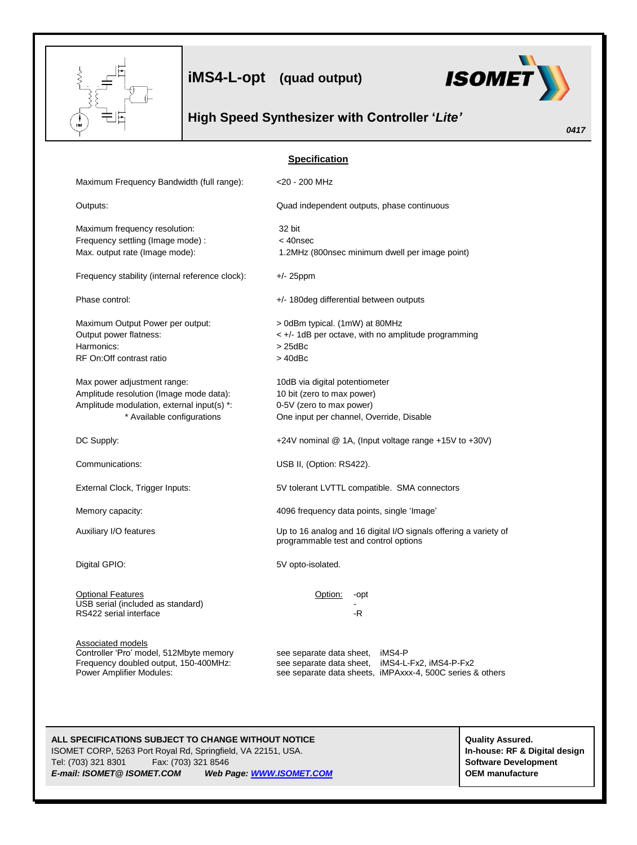

**iMS4-L-opt (quad output)**



*0417*

# **High Speed Synthesizer with Controller '***Lite'*

|                                                                          | <b>Specification</b>                                                                                         |
|--------------------------------------------------------------------------|--------------------------------------------------------------------------------------------------------------|
| Maximum Frequency Bandwidth (full range):                                | <20 - 200 MHz                                                                                                |
| Outputs:                                                                 | Quad independent outputs, phase continuous                                                                   |
| Maximum frequency resolution:                                            | 32 bit                                                                                                       |
| Frequency settling (Image mode) :<br>Max. output rate (Image mode):      | $<$ 40 $n$ sec<br>1.2MHz (800nsec minimum dwell per image point)                                             |
|                                                                          |                                                                                                              |
| Frequency stability (internal reference clock):                          | $+/- 25$ ppm                                                                                                 |
| Phase control:                                                           | +/- 180 deg differential between outputs                                                                     |
| Maximum Output Power per output:                                         | > 0dBm typical. (1mW) at 80MHz                                                                               |
| Output power flatness:                                                   | < +/- 1dB per octave, with no amplitude programming                                                          |
| Harmonics:                                                               | $>25$ d $Bc$                                                                                                 |
| RF On: Off contrast ratio                                                | $>40$ d $Bc$                                                                                                 |
| Max power adjustment range:                                              | 10dB via digital potentiometer                                                                               |
| Amplitude resolution (Image mode data):                                  | 10 bit (zero to max power)                                                                                   |
| Amplitude modulation, external input(s) *:                               | 0-5V (zero to max power)                                                                                     |
| * Available configurations                                               | One input per channel, Override, Disable                                                                     |
| DC Supply:                                                               | +24V nominal $@$ 1A, (Input voltage range +15V to +30V)                                                      |
| Communications:                                                          | USB II, (Option: RS422).                                                                                     |
| External Clock, Trigger Inputs:                                          | 5V tolerant LVTTL compatible. SMA connectors                                                                 |
| Memory capacity:                                                         | 4096 frequency data points, single 'Image'                                                                   |
| Auxiliary I/O features                                                   | Up to 16 analog and 16 digital I/O signals offering a variety of<br>programmable test and control options    |
| Digital GPIO:                                                            | 5V opto-isolated.                                                                                            |
| <b>Optional Features</b>                                                 | Option:<br>-opt                                                                                              |
| USB serial (included as standard)                                        |                                                                                                              |
| RS422 serial interface                                                   | -R                                                                                                           |
| <b>Associated models</b>                                                 |                                                                                                              |
| Controller 'Pro' model, 512Mbyte memory                                  | see separate data sheet, iMS4-P                                                                              |
| Frequency doubled output, 150-400MHz:<br><b>Power Amplifier Modules:</b> | see separate data sheet, iMS4-L-Fx2, iMS4-P-Fx2<br>see separate data sheets, iMPAxxx-4, 500C series & others |
|                                                                          |                                                                                                              |

## ALL SPECIFICATIONS SUBJECT TO CHANGE WITHOUT NOTICE **ALL SPECIFICATIONS** Subject to CHANGE WITHOUT NOTICE

ISOMET CORP, 5263 Port Royal Rd, Springfield, VA 22151, USA. **In-house: RF & Digital design** Tel: (703) 321 8301 Fax: (703) 321 8546 **Software Development** *E-mail: ISOMET@ ISOMET.COM Web Page[: WWW.ISOMET.COM](http://www.isomet.com/)* **OEM manufacture**